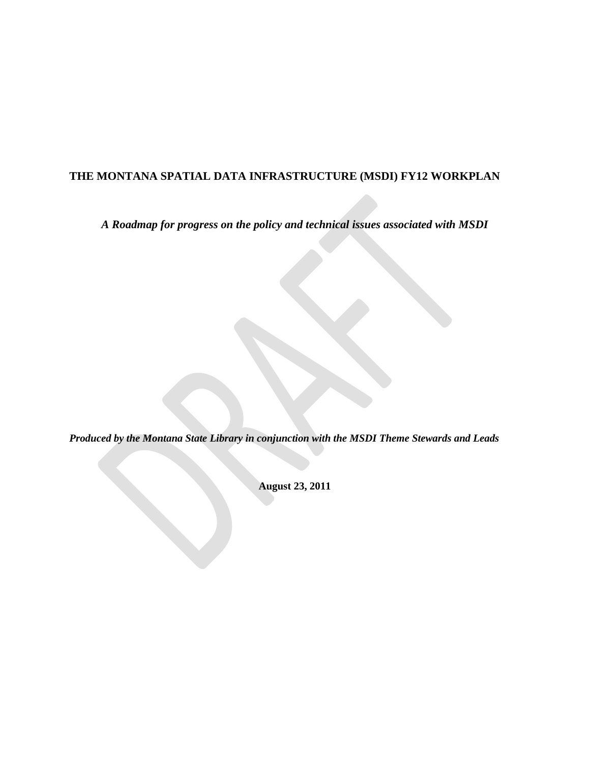## **THE MONTANA SPATIAL DATA INFRASTRUCTURE (MSDI) FY12 WORKPLAN**

*A Roadmap for progress on the policy and technical issues associated with MSDI*

*Produced by the Montana State Library in conjunction with the MSDI Theme Stewards and Leads*

**August 23, 2011**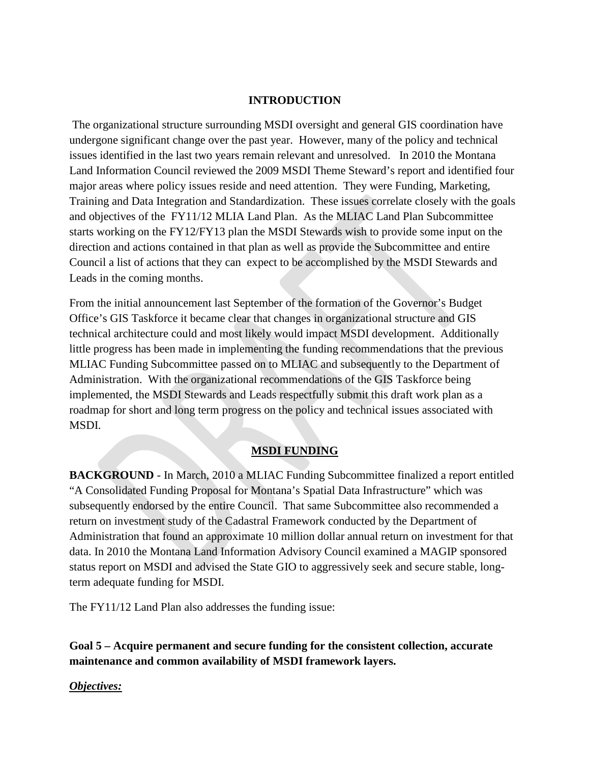#### **INTRODUCTION**

The organizational structure surrounding MSDI oversight and general GIS coordination have undergone significant change over the past year. However, many of the policy and technical issues identified in the last two years remain relevant and unresolved. In 2010 the Montana Land Information Council reviewed the 2009 MSDI Theme Steward's report and identified four major areas where policy issues reside and need attention. They were Funding, Marketing, Training and Data Integration and Standardization. These issues correlate closely with the goals and objectives of the FY11/12 MLIA Land Plan. As the MLIAC Land Plan Subcommittee starts working on the FY12/FY13 plan the MSDI Stewards wish to provide some input on the direction and actions contained in that plan as well as provide the Subcommittee and entire Council a list of actions that they can expect to be accomplished by the MSDI Stewards and Leads in the coming months.

From the initial announcement last September of the formation of the Governor's Budget Office's GIS Taskforce it became clear that changes in organizational structure and GIS technical architecture could and most likely would impact MSDI development. Additionally little progress has been made in implementing the funding recommendations that the previous MLIAC Funding Subcommittee passed on to MLIAC and subsequently to the Department of Administration. With the organizational recommendations of the GIS Taskforce being implemented, the MSDI Stewards and Leads respectfully submit this draft work plan as a roadmap for short and long term progress on the policy and technical issues associated with MSDI.

## **MSDI FUNDING**

**BACKGROUND** - In March, 2010 a MLIAC Funding Subcommittee finalized a report entitled "A Consolidated Funding Proposal for Montana's Spatial Data Infrastructure" which was subsequently endorsed by the entire Council. That same Subcommittee also recommended a return on investment study of the Cadastral Framework conducted by the Department of Administration that found an approximate 10 million dollar annual return on investment for that data. In 2010 the Montana Land Information Advisory Council examined a MAGIP sponsored status report on MSDI and advised the State GIO to aggressively seek and secure stable, longterm adequate funding for MSDI.

The FY11/12 Land Plan also addresses the funding issue:

**Goal 5 – Acquire permanent and secure funding for the consistent collection, accurate maintenance and common availability of MSDI framework layers.**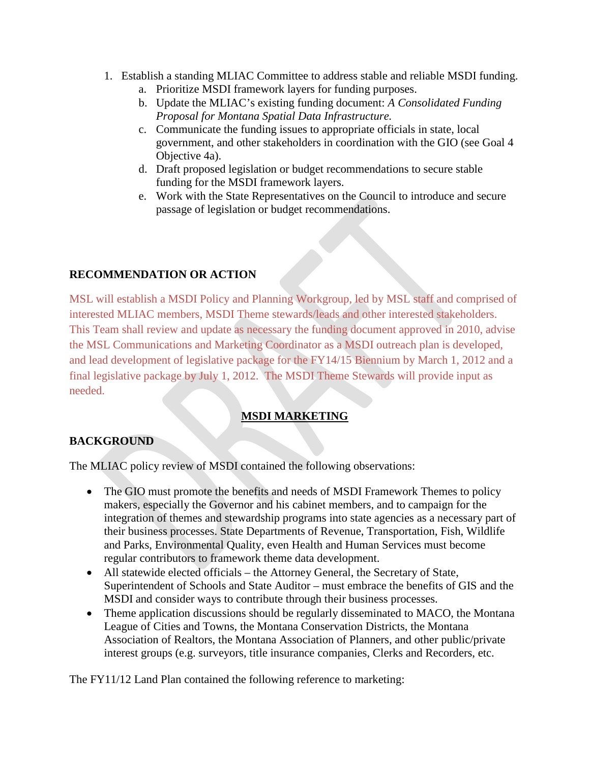- 1. Establish a standing MLIAC Committee to address stable and reliable MSDI funding.
	- a. Prioritize MSDI framework layers for funding purposes.
	- b. Update the MLIAC's existing funding document: *A Consolidated Funding Proposal for Montana Spatial Data Infrastructure.*
	- c. Communicate the funding issues to appropriate officials in state, local government, and other stakeholders in coordination with the GIO (see Goal 4 Objective 4a).
	- d. Draft proposed legislation or budget recommendations to secure stable funding for the MSDI framework layers.
	- e. Work with the State Representatives on the Council to introduce and secure passage of legislation or budget recommendations.

## **RECOMMENDATION OR ACTION**

MSL will establish a MSDI Policy and Planning Workgroup, led by MSL staff and comprised of interested MLIAC members, MSDI Theme stewards/leads and other interested stakeholders. This Team shall review and update as necessary the funding document approved in 2010, advise the MSL Communications and Marketing Coordinator as a MSDI outreach plan is developed, and lead development of legislative package for the FY14/15 Biennium by March 1, 2012 and a final legislative package by July 1, 2012. The MSDI Theme Stewards will provide input as needed.

## **MSDI MARKETING**

## **BACKGROUND**

The MLIAC policy review of MSDI contained the following observations:

- The GIO must promote the benefits and needs of MSDI Framework Themes to policy makers, especially the Governor and his cabinet members, and to campaign for the integration of themes and stewardship programs into state agencies as a necessary part of their business processes. State Departments of Revenue, Transportation, Fish, Wildlife and Parks, Environmental Quality, even Health and Human Services must become regular contributors to framework theme data development.
- All statewide elected officials the Attorney General, the Secretary of State, Superintendent of Schools and State Auditor – must embrace the benefits of GIS and the MSDI and consider ways to contribute through their business processes.
- Theme application discussions should be regularly disseminated to MACO, the Montana League of Cities and Towns, the Montana Conservation Districts, the Montana Association of Realtors, the Montana Association of Planners, and other public/private interest groups (e.g. surveyors, title insurance companies, Clerks and Recorders, etc.

The FY11/12 Land Plan contained the following reference to marketing: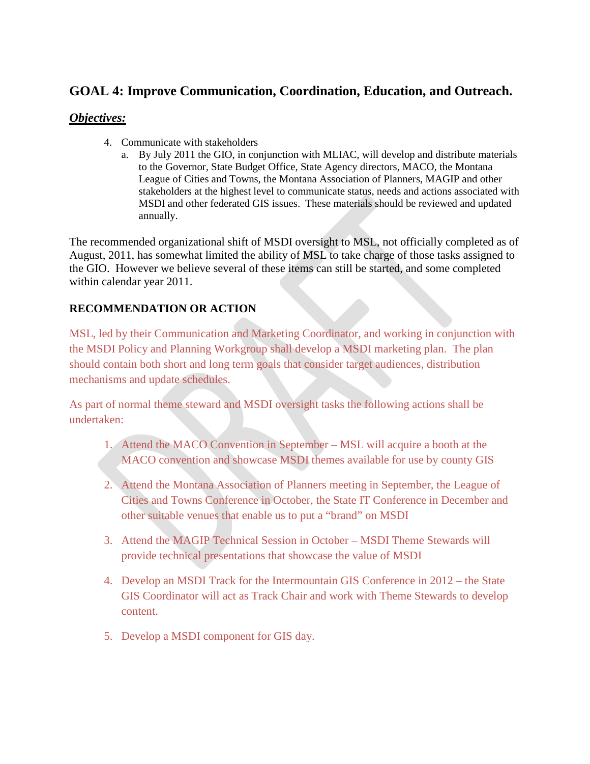# **GOAL 4: Improve Communication, Coordination, Education, and Outreach.**

## *Objectives:*

- 4. Communicate with stakeholders
	- a. By July 2011 the GIO, in conjunction with MLIAC, will develop and distribute materials to the Governor, State Budget Office, State Agency directors, MACO, the Montana League of Cities and Towns, the Montana Association of Planners, MAGIP and other stakeholders at the highest level to communicate status, needs and actions associated with MSDI and other federated GIS issues. These materials should be reviewed and updated annually.

The recommended organizational shift of MSDI oversight to MSL, not officially completed as of August, 2011, has somewhat limited the ability of MSL to take charge of those tasks assigned to the GIO. However we believe several of these items can still be started, and some completed within calendar year 2011.

## **RECOMMENDATION OR ACTION**

MSL, led by their Communication and Marketing Coordinator, and working in conjunction with the MSDI Policy and Planning Workgroup shall develop a MSDI marketing plan. The plan should contain both short and long term goals that consider target audiences, distribution mechanisms and update schedules.

As part of normal theme steward and MSDI oversight tasks the following actions shall be undertaken:

- 1. Attend the MACO Convention in September MSL will acquire a booth at the MACO convention and showcase MSDI themes available for use by county GIS
- 2. Attend the Montana Association of Planners meeting in September, the League of Cities and Towns Conference in October, the State IT Conference in December and other suitable venues that enable us to put a "brand" on MSDI
- 3. Attend the MAGIP Technical Session in October MSDI Theme Stewards will provide technical presentations that showcase the value of MSDI
- 4. Develop an MSDI Track for the Intermountain GIS Conference in 2012 the State GIS Coordinator will act as Track Chair and work with Theme Stewards to develop content.
- 5. Develop a MSDI component for GIS day.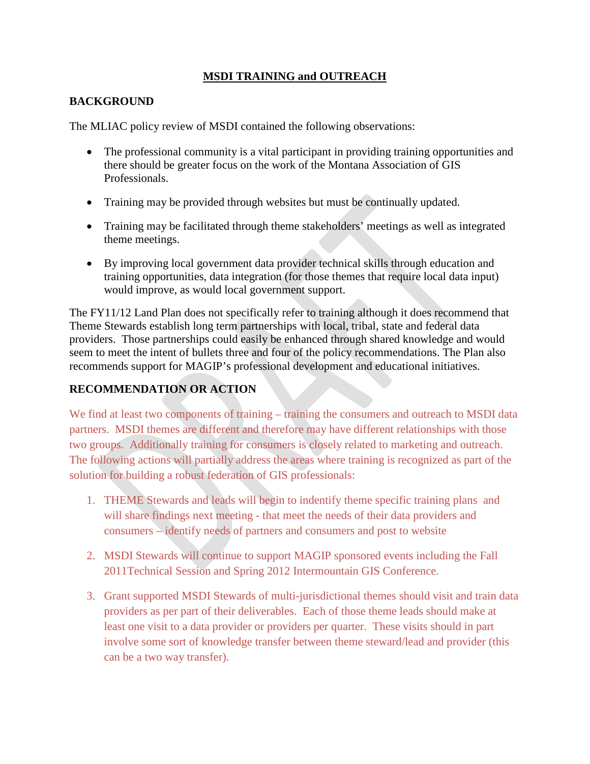### **MSDI TRAINING and OUTREACH**

### **BACKGROUND**

The MLIAC policy review of MSDI contained the following observations:

- The professional community is a vital participant in providing training opportunities and there should be greater focus on the work of the Montana Association of GIS Professionals.
- Training may be provided through websites but must be continually updated.
- Training may be facilitated through theme stakeholders' meetings as well as integrated theme meetings.
- By improving local government data provider technical skills through education and training opportunities, data integration (for those themes that require local data input) would improve, as would local government support.

The FY11/12 Land Plan does not specifically refer to training although it does recommend that Theme Stewards establish long term partnerships with local, tribal, state and federal data providers. Those partnerships could easily be enhanced through shared knowledge and would seem to meet the intent of bullets three and four of the policy recommendations. The Plan also recommends support for MAGIP's professional development and educational initiatives.

### **RECOMMENDATION OR ACTION**

We find at least two components of training – training the consumers and outreach to MSDI data partners. MSDI themes are different and therefore may have different relationships with those two groups. Additionally training for consumers is closely related to marketing and outreach. The following actions will partially address the areas where training is recognized as part of the solution for building a robust federation of GIS professionals:

- 1. THEME Stewards and leads will begin to indentify theme specific training plans and will share findings next meeting - that meet the needs of their data providers and consumers – identify needs of partners and consumers and post to website
- 2. MSDI Stewards will continue to support MAGIP sponsored events including the Fall 2011Technical Session and Spring 2012 Intermountain GIS Conference.
- 3. Grant supported MSDI Stewards of multi-jurisdictional themes should visit and train data providers as per part of their deliverables. Each of those theme leads should make at least one visit to a data provider or providers per quarter. These visits should in part involve some sort of knowledge transfer between theme steward/lead and provider (this can be a two way transfer).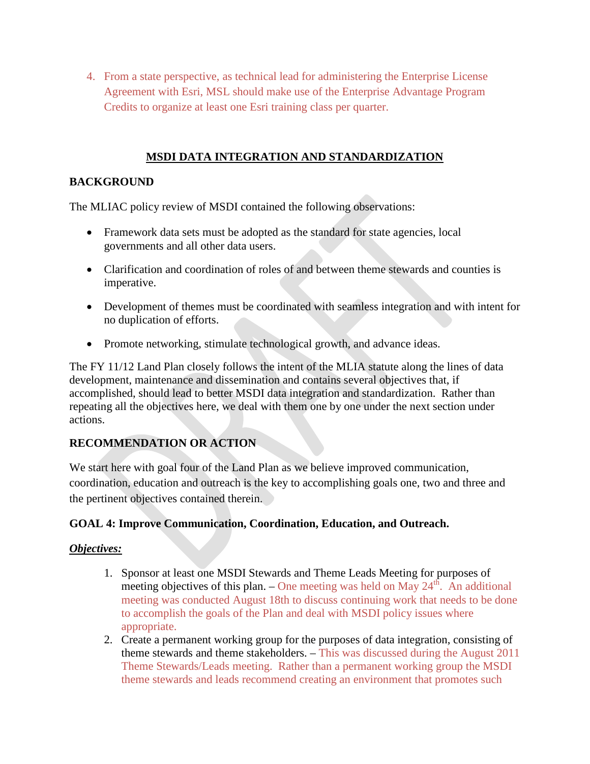4. From a state perspective, as technical lead for administering the Enterprise License Agreement with Esri, MSL should make use of the Enterprise Advantage Program Credits to organize at least one Esri training class per quarter.

## **MSDI DATA INTEGRATION AND STANDARDIZATION**

### **BACKGROUND**

The MLIAC policy review of MSDI contained the following observations:

- Framework data sets must be adopted as the standard for state agencies, local governments and all other data users.
- Clarification and coordination of roles of and between theme stewards and counties is imperative.
- Development of themes must be coordinated with seamless integration and with intent for no duplication of efforts.
- Promote networking, stimulate technological growth, and advance ideas.

The FY 11/12 Land Plan closely follows the intent of the MLIA statute along the lines of data development, maintenance and dissemination and contains several objectives that, if accomplished, should lead to better MSDI data integration and standardization. Rather than repeating all the objectives here, we deal with them one by one under the next section under actions.

## **RECOMMENDATION OR ACTION**

We start here with goal four of the Land Plan as we believe improved communication, coordination, education and outreach is the key to accomplishing goals one, two and three and the pertinent objectives contained therein.

### **GOAL 4: Improve Communication, Coordination, Education, and Outreach.**

- 1. Sponsor at least one MSDI Stewards and Theme Leads Meeting for purposes of meeting objectives of this plan. – One meeting was held on May  $24<sup>th</sup>$ . An additional meeting was conducted August 18th to discuss continuing work that needs to be done to accomplish the goals of the Plan and deal with MSDI policy issues where appropriate.
- 2. Create a permanent working group for the purposes of data integration, consisting of theme stewards and theme stakeholders. – This was discussed during the August 2011 Theme Stewards/Leads meeting. Rather than a permanent working group the MSDI theme stewards and leads recommend creating an environment that promotes such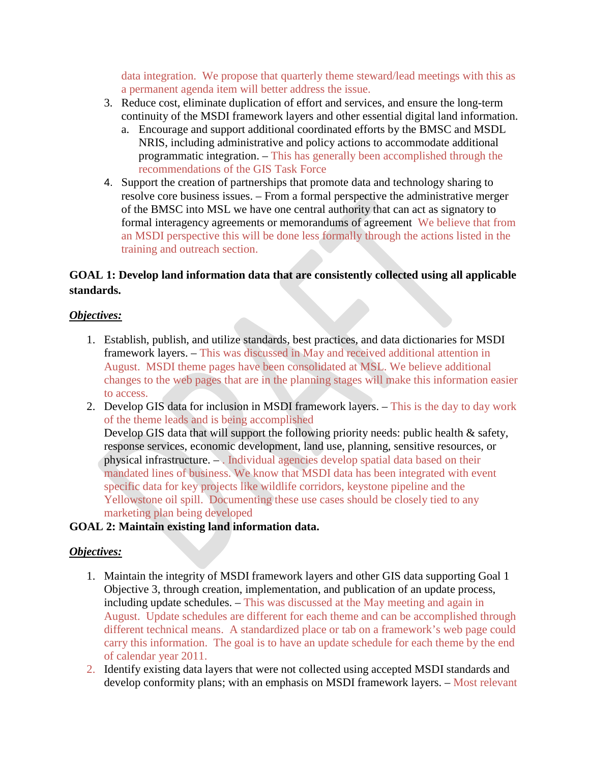data integration. We propose that quarterly theme steward/lead meetings with this as a permanent agenda item will better address the issue.

- 3. Reduce cost, eliminate duplication of effort and services, and ensure the long-term continuity of the MSDI framework layers and other essential digital land information.
	- a. Encourage and support additional coordinated efforts by the BMSC and MSDL NRIS, including administrative and policy actions to accommodate additional programmatic integration. – This has generally been accomplished through the recommendations of the GIS Task Force
- 4. Support the creation of partnerships that promote data and technology sharing to resolve core business issues. – From a formal perspective the administrative merger of the BMSC into MSL we have one central authority that can act as signatory to formal interagency agreements or memorandums of agreement We believe that from an MSDI perspective this will be done less formally through the actions listed in the training and outreach section.

## **GOAL 1: Develop land information data that are consistently collected using all applicable standards.**

### *Objectives:*

- 1. Establish, publish, and utilize standards, best practices, and data dictionaries for MSDI framework layers. – This was discussed in May and received additional attention in August. MSDI theme pages have been consolidated at MSL. We believe additional changes to the web pages that are in the planning stages will make this information easier to access.
- 2. Develop GIS data for inclusion in MSDI framework layers. This is the day to day work of the theme leads and is being accomplished Develop GIS data that will support the following priority needs: public health & safety, response services, economic development, land use, planning, sensitive resources, or physical infrastructure. – . Individual agencies develop spatial data based on their mandated lines of business. We know that MSDI data has been integrated with event specific data for key projects like wildlife corridors, keystone pipeline and the Yellowstone oil spill. Documenting these use cases should be closely tied to any marketing plan being developed

### **GOAL 2: Maintain existing land information data.**

- 1. Maintain the integrity of MSDI framework layers and other GIS data supporting Goal 1 Objective 3, through creation, implementation, and publication of an update process, including update schedules. – This was discussed at the May meeting and again in August. Update schedules are different for each theme and can be accomplished through different technical means. A standardized place or tab on a framework's web page could carry this information. The goal is to have an update schedule for each theme by the end of calendar year 2011.
- 2. Identify existing data layers that were not collected using accepted MSDI standards and develop conformity plans; with an emphasis on MSDI framework layers. – Most relevant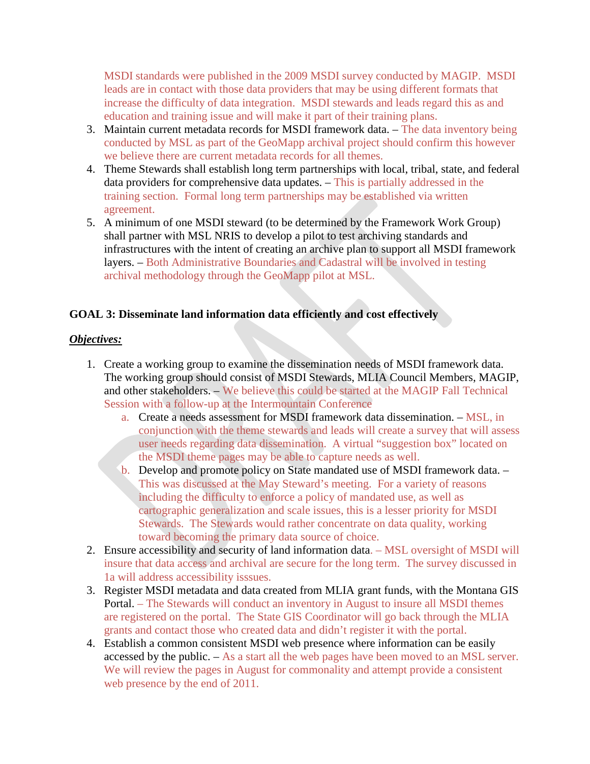MSDI standards were published in the 2009 MSDI survey conducted by MAGIP. MSDI leads are in contact with those data providers that may be using different formats that increase the difficulty of data integration. MSDI stewards and leads regard this as and education and training issue and will make it part of their training plans.

- 3. Maintain current metadata records for MSDI framework data. The data inventory being conducted by MSL as part of the GeoMapp archival project should confirm this however we believe there are current metadata records for all themes.
- 4. Theme Stewards shall establish long term partnerships with local, tribal, state, and federal data providers for comprehensive data updates. – This is partially addressed in the training section. Formal long term partnerships may be established via written agreement.
- 5. A minimum of one MSDI steward (to be determined by the Framework Work Group) shall partner with MSL NRIS to develop a pilot to test archiving standards and infrastructures with the intent of creating an archive plan to support all MSDI framework layers. – Both Administrative Boundaries and Cadastral will be involved in testing archival methodology through the GeoMapp pilot at MSL.

### **GOAL 3: Disseminate land information data efficiently and cost effectively**

- 1. Create a working group to examine the dissemination needs of MSDI framework data. The working group should consist of MSDI Stewards, MLIA Council Members, MAGIP, and other stakeholders. – We believe this could be started at the MAGIP Fall Technical Session with a follow-up at the Intermountain Conference
	- a. Create a needs assessment for MSDI framework data dissemination. MSL, in conjunction with the theme stewards and leads will create a survey that will assess user needs regarding data dissemination. A virtual "suggestion box" located on the MSDI theme pages may be able to capture needs as well.
	- b. Develop and promote policy on State mandated use of MSDI framework data. This was discussed at the May Steward's meeting. For a variety of reasons including the difficulty to enforce a policy of mandated use, as well as cartographic generalization and scale issues, this is a lesser priority for MSDI Stewards. The Stewards would rather concentrate on data quality, working toward becoming the primary data source of choice.
- 2. Ensure accessibility and security of land information data. MSL oversight of MSDI will insure that data access and archival are secure for the long term. The survey discussed in 1a will address accessibility isssues.
- 3. Register MSDI metadata and data created from MLIA grant funds, with the Montana GIS Portal. – The Stewards will conduct an inventory in August to insure all MSDI themes are registered on the portal. The State GIS Coordinator will go back through the MLIA grants and contact those who created data and didn't register it with the portal.
- 4. Establish a common consistent MSDI web presence where information can be easily accessed by the public. – As a start all the web pages have been moved to an MSL server. We will review the pages in August for commonality and attempt provide a consistent web presence by the end of 2011.